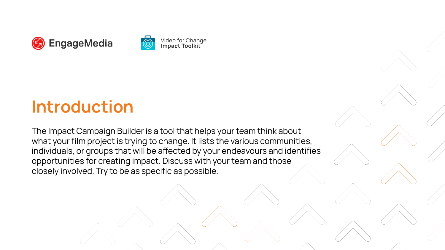



**Video for Change<br>Impact Toolkit** 

# **Introduction**

The Impact Campaign Builder is a tool that helps your team think about what your film project is trying to change. It lists the various communities, individuals, or groups that will be affected by your endeavours and identifies opportunities for creating impact. Discuss with your team and those closely involved. Try to be as specific as possible.

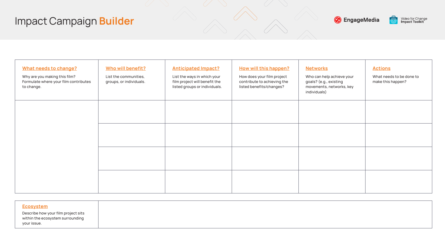| <u>Ecosystem</u><br>Describe how your film project sits<br>within the ecosystem surrounding<br>your issue. |  |
|------------------------------------------------------------------------------------------------------------|--|
|                                                                                                            |  |
|                                                                                                            |  |







Video for Change<br>**Impact Toolkit** 





| <b>What needs to change?</b><br>Why are you making this film?<br>Formulate where your film contributes<br>to change. | Who will benefit?<br>List the communities,<br>groups, or individuals. | <b>Anticipated Impact?</b><br>List the ways in which your<br>film project will benefit the<br>listed groups or individuals. | <b>How will this happen?</b><br>How does your film project<br>contribute to achieving the<br>listed benefits/changes? | <b>Networks</b><br>Who can help achieve your<br>goals? (e.g., existing<br>movements, networks, key<br>individuals) | <b>Actions</b><br>What needs to be done to<br>make this happen? |
|----------------------------------------------------------------------------------------------------------------------|-----------------------------------------------------------------------|-----------------------------------------------------------------------------------------------------------------------------|-----------------------------------------------------------------------------------------------------------------------|--------------------------------------------------------------------------------------------------------------------|-----------------------------------------------------------------|
|                                                                                                                      |                                                                       |                                                                                                                             |                                                                                                                       |                                                                                                                    |                                                                 |
|                                                                                                                      |                                                                       |                                                                                                                             |                                                                                                                       |                                                                                                                    |                                                                 |
|                                                                                                                      |                                                                       |                                                                                                                             |                                                                                                                       |                                                                                                                    |                                                                 |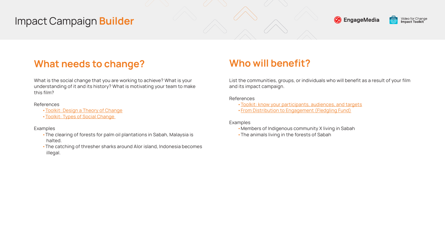List the communities, groups, or individuals who will benefit as a result of your film and its impact campaign.

### References

- •Members of Indigenous community X living in Sabah
- The animals living in the forests of Sabah



- •[Toolkit: know your participants, audiences, and targets](https://toolkit.video4change.org/research-and-planning/step-three-know-your-participants-audiences-and-targets/)
- •[From Distribution to Engagement \(Fledgling Fund\)](https://www.thefledglingfund.org/wp-content/uploads/2015/10/From-Distribution-to-Audience-Engagment.pdf)

Examples

## **Who will benefit?**

What is the social change that you are working to achieve? What is your understanding of it and its history? What is motivating your team to make this film?

References

- •[Toolkit: Design a Theory of Change](https://toolkit.video4change.org/research-and-planning/step-two-design-a-theory-of-change/)
- •[Toolkit: Types of Social Change](https://toolkit.video4change.org/what-is-impact/types-of-social-change/)

**Examples** 

- •The clearing of forests for palm oil plantations in Sabah, Malaysia is halted.
- •The catching of thresher sharks around Alor island, Indonesia becomes illegal.



### <span id="page-2-0"></span>**What needs to change?**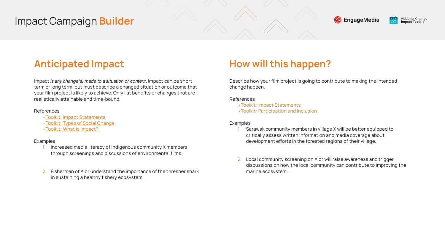Impact *is any change(s) made to a situation or context*. Impact can be short term or long term, but must describe a changed situation or outcome that your film project is likely to achieve. Only list benefits or changes that are realistically attainable and time-bound.

#### References

- Increased media literacy of Indigenous community X members through screenings and discussions of environmental films.
- 2 Fishermen of Alor understand the importance of the thresher shark in sustaining a healthy fishery ecosystem.



- •[Toolkit: Impact Statements](https://toolkit.video4change.org/values-and-methods/impact-statements/)
- •[Toolkit: Types of Social Change](https://toolkit.video4change.org/what-is-impact/types-of-social-change/)
- •[Toolkit: What is Impact?](https://toolkit.video4change.org/what-is-impact/)

### **Examples**

- Sarawak community members in village X will be better equipped to critically assess written information and media coverage about development efforts in the forested regions of their village.
- 2 Local community screening on Alor will raise awareness and trigger discussions on how the local community can contribute to improving the marine ecosystem.



## <span id="page-3-0"></span>**Anticipated Impact**

Describe how your film project is going to contribute to making the intended change happen.

References

- •[Toolkit: Impact Statements](https://toolkit.video4change.org/values-and-methods/impact-statements/)
- •[Toolkit: Participation and Inclusion](https://toolkit.video4change.org/values-and-methods/participation-and-inclusion/)

#### Examples

### **How will this happen?**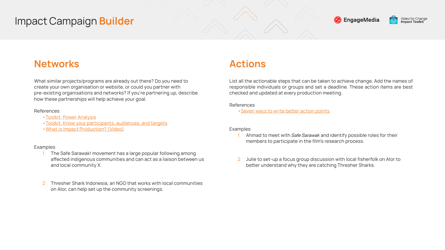What similar projects/programs are already out there? Do you need to create your own organisation or website, or could you partner with pre-existing organisations and networks? If you're partnering up, describe how these partnerships will help achieve your goal.

#### References

- [•Toolkit: Power Analysis](https://toolkit.video4change.org/values-and-methods/power-analysis/)
- •[Toolkit: Know your participants, audiences, and targets](https://toolkit.video4change.org/research-and-planning/step-three-know-your-participants-audiences-and-targets/)
- •[What is Impact Production? \(Video\)](https://cinemata.org/view?m=Pz14Nbkc7)

### **Examples**

- The Safe Sarawak! movement has a large popular following among affected indigenous communities and can act as a liaison between us and local community X.
- 2 Thresher Shark Indonesia, an NGO that works with local communities on Alor, can help set up the community screenings.



### <span id="page-4-0"></span>**Networks**

List all the actionable steps that can be taken to achieve change. Add the names of responsible individuals or groups and set a deadline. These action items are best checked and updated at every production meeting.

References

•[Seven ways to write better action points](https://www.linkedin.com/pulse/7-ways-write-better-action-items-charlie-gilkey/)

### **Examples**

- 1 Ahmad to meet with *Safe Sarawak* and identify possible roles for their members to participate in the film's research process.
- 2 Julie to set-up a focus group discussion with local fisherfolk on Alor to better understand why they are catching Thresher Sharks.



### **Actions**